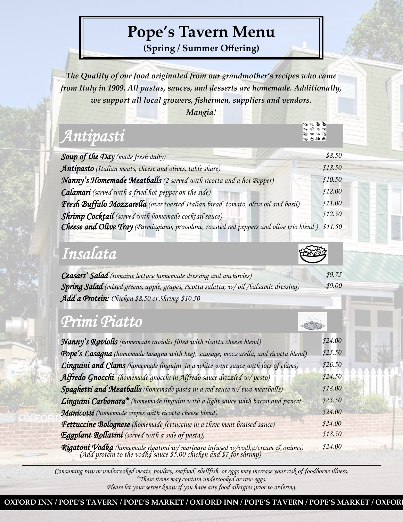## **Pope's Tavern Menu**

**(Spring / Summer Offering)**

*The Quality of our food originated from our grandmother's recipes who came from Italy in 1909. All pastas, sauces, and desserts are homemade. Additionally, we support all local growers, fishermen, suppliers and vendors.* 

*Mangia!*

# *Antipasti*

| <b>Soup of the Day</b> (made fresh daily)                                                        | \$8.50  |
|--------------------------------------------------------------------------------------------------|---------|
| Antipasto (Italian meats, cheese and olives, table share)                                        | \$18.50 |
| Nanny's Homemade Meatballs (2 served with ricotta and a hot Pepper)                              | \$10.50 |
| <b>Calamari</b> (served with a fried hot pepper on the side)                                     | \$12.00 |
| Fresh Buffalo Mozzarella (over toasted Italian bread, tomato, olive oil and basil)               | \$11.00 |
| Shrimp Cocktail (served with homemade cocktail sauce)                                            | \$12.50 |
| Cheese and Olive Tray (Parmiagiano, provolone, roasted red peppers and olive trio blend) \$11.50 |         |

*\$9.00*

tt a

## *Insalata*

*Ceasars' Salad (romaine lettuce homemade dressing and anchovies) \$9.75 Spring Salad (mixed greens, apple, grapes, ricotta salatta, w/ oil /balsamic dressing) Add a Protein: Chicken \$8.50 or Shrimp \$10.50* 

## *Primi Piatto*

| Nanny's Raviolis (homemade raviolis filled with ricotta cheese blend)                                                                               | \$24.00 |
|-----------------------------------------------------------------------------------------------------------------------------------------------------|---------|
| Pope's Lasagna (homemade lasagna with beef, sausage, mozzarella, and ricotta blend)                                                                 | \$25.50 |
| Linguini and Clams (homemade linguini in a white wine sauce with lots of clams)                                                                     | \$26.50 |
| Alfredo Gnocchi (homemade gnocchi in Alfredo sauce drizzled w/pesto)                                                                                | \$24.50 |
| Spaghetti and Meatballs (homemade pasta in a red sauce w/two meatballs)                                                                             | \$18.00 |
| Linguini Carbonara* (homemade linguini with a light sauce with bacon and pancet-                                                                    | \$23.50 |
| Manicotti (homemade crepes with ricotta cheese blend)                                                                                               | \$24.00 |
| Fettuccine Bolognese (homemade fettuccine in a three meat braised sauce)                                                                            | \$24.00 |
| Eggplant Rollatini (served with a side of pasta))                                                                                                   | \$18.50 |
| Rigatoni Vodka (homemade rigatoni w/ marinara infused w/vodka/cream & onions)<br>(Add protein to the vodka sauce \$5.00 chicken and \$7 for shrimp) | \$24.00 |

*Consuming raw or undercooked meats, poultry, seafood, shellfish, or eggs may increase your risk of foodborne illness. \*These items may contain undercooked or raw eggs. Please let your server know if you have any food allergies prior to ordering.*

**OXFORD INN / POPE'S TAVERN / POPE'S MARKET / OXFORD INN / POPE'S TAVERN / POPE'S MARKET / OXFORD INN / POPE**